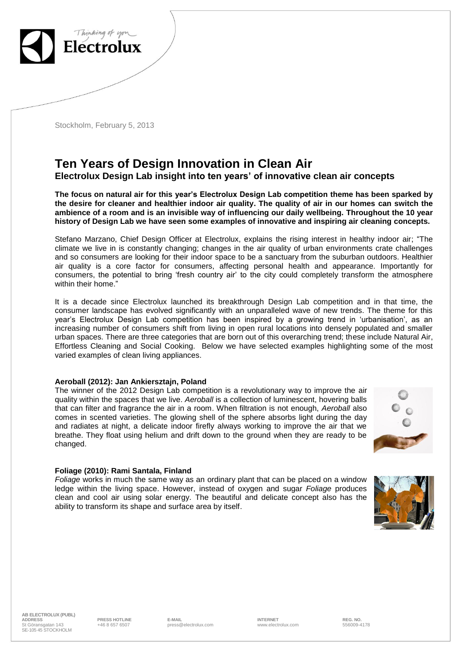

Stockholm, February 5, 2013

# **Ten Years of Design Innovation in Clean Air**

**Electrolux Design Lab insight into ten years' of innovative clean air concepts**

**The focus on natural air for this year's Electrolux Design Lab competition theme has been sparked by the desire for cleaner and healthier indoor air quality. The quality of air in our homes can switch the ambience of a room and is an invisible way of influencing our daily wellbeing. Throughout the 10 year history of Design Lab we have seen some examples of innovative and inspiring air cleaning concepts.** 

Stefano Marzano, Chief Design Officer at Electrolux, explains the rising interest in healthy indoor air; "The climate we live in is constantly changing; changes in the air quality of urban environments crate challenges and so consumers are looking for their indoor space to be a sanctuary from the suburban outdoors. Healthier air quality is a core factor for consumers, affecting personal health and appearance. Importantly for consumers, the potential to bring 'fresh country air' to the city could completely transform the atmosphere within their home."

It is a decade since Electrolux launched its breakthrough Design Lab competition and in that time, the consumer landscape has evolved significantly with an unparalleled wave of new trends. The theme for this year's Electrolux Design Lab competition has been inspired by a growing trend in 'urbanisation', as an increasing number of consumers shift from living in open rural locations into densely populated and smaller urban spaces. There are three categories that are born out of this overarching trend; these include Natural Air, Effortless Cleaning and Social Cooking. Below we have selected examples highlighting some of the most varied examples of clean living appliances.

#### **Aeroball (2012): Jan Ankiersztajn, Poland**

The winner of the 2012 Design Lab competition is a revolutionary way to improve the air quality within the spaces that we live. *Aeroball* is a collection of luminescent, hovering balls that can filter and fragrance the air in a room. When filtration is not enough, *Aeroball* also comes in scented varieties. The glowing shell of the sphere absorbs light during the day and radiates at night, a delicate indoor firefly always working to improve the air that we breathe. They float using helium and drift down to the ground when they are ready to be changed.

#### **Foliage (2010): Rami Santala, Finland**

*Foliage* works in much the same way as an ordinary plant that can be placed on a window ledge within the living space. However, instead of oxygen and sugar *Foliage* produces clean and cool air using solar energy. The beautiful and delicate concept also has the ability to transform its shape and surface area by itself.



**AB ELECTROLUX (PUBL) ADDRESS PRESS HOTLINE E-MAIL INTERNET REG. NO.** St Göransgatan 143 SE-105 45 STOCKHOLM

+46 8 657 6507 press@electrolux.com www.electrolux.com 556009-4178